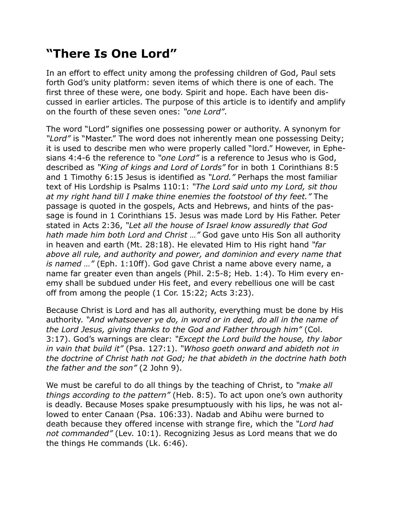## **"There Is One Lord"**

In an effort to effect unity among the professing children of God, Paul sets forth God's unity platform: seven items of which there is one of each. The first three of these were, one body. Spirit and hope. Each have been discussed in earlier articles. The purpose of this article is to identify and amplify on the fourth of these seven ones: *"one Lord"*.

The word "Lord" signifies one possessing power or authority. A synonym for *"Lord"* is "Master." The word does not inherently mean one possessing Deity; it is used to describe men who were properly called "lord." However, in Ephesians 4:4-6 the reference to *"one Lord"* is a reference to Jesus who is God, described as *"King of kings and Lord of Lords"* for in both 1 Corinthians 8:5 and 1 Timothy 6:15 Jesus is identified as *"Lord."* Perhaps the most familiar text of His Lordship is Psalms 110:1: *"The Lord said unto my Lord, sit thou at my right hand till I make thine enemies the footstool of thy feet."* The passage is quoted in the gospels, Acts and Hebrews, and hints of the passage is found in 1 Corinthians 15. Jesus was made Lord by His Father. Peter stated in Acts 2:36, *"Let all the house of Israel know assuredly that God hath made him both Lord and Christ …"* God gave unto His Son all authority in heaven and earth (Mt. 28:18). He elevated Him to His right hand *"far above all rule, and authority and power, and dominion and every name that is named …"* (Eph. 1:10ff). God gave Christ a name above every name, a name far greater even than angels (Phil. 2:5-8; Heb. 1:4). To Him every enemy shall be subdued under His feet, and every rebellious one will be cast off from among the people (1 Cor. 15:22; Acts 3:23).

Because Christ is Lord and has all authority, everything must be done by His authority. *"And whatsoever ye do, in word or in deed, do all in the name of the Lord Jesus, giving thanks to the God and Father through him"* (Col. 3:17). God's warnings are clear: *"Except the Lord build the house, thy labor in vain that build it"* (Psa. 127:1). *"Whoso goeth onward and abideth not in the doctrine of Christ hath not God; he that abideth in the doctrine hath both the father and the son"* (2 John 9).

We must be careful to do all things by the teaching of Christ, to *"make all things according to the pattern"* (Heb. 8:5). To act upon one's own authority is deadly. Because Moses spake presumptuously with his lips, he was not allowed to enter Canaan (Psa. 106:33). Nadab and Abihu were burned to death because they offered incense with strange fire, which the *"Lord had not commanded"* (Lev. 10:1). Recognizing Jesus as Lord means that we do the things He commands (Lk. 6:46).